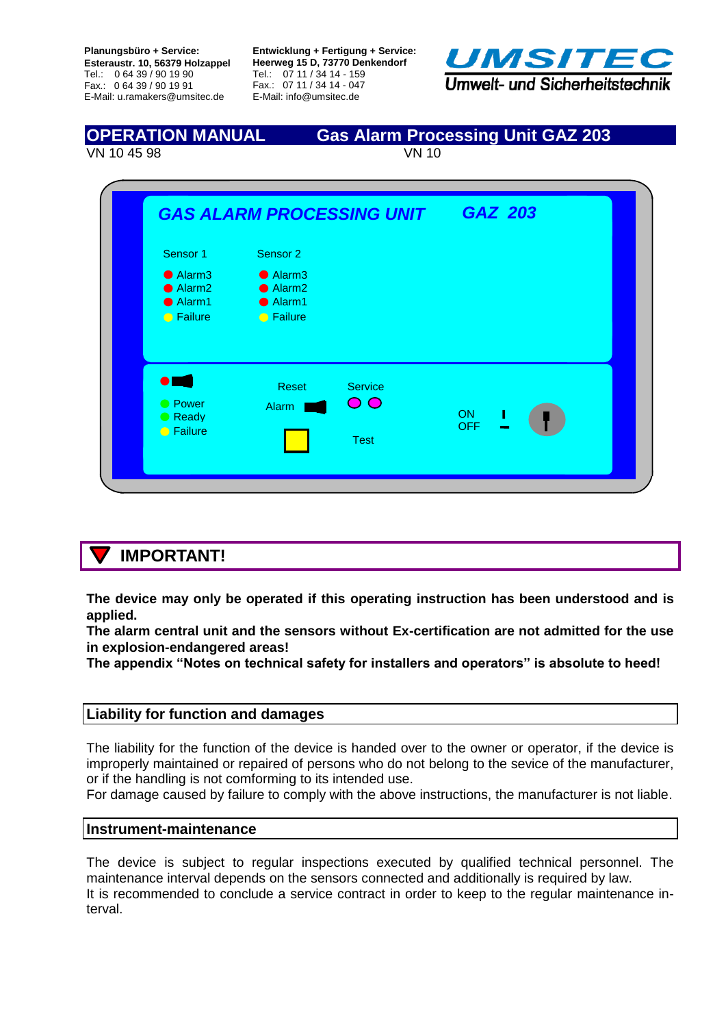**Planungsbüro + Service: Esteraustr. 10, 56379 Holzappel** Tel.: 0 64 39 / 90 19 90 Fax.: 0 64 39 / 90 19 91 E-Mail: u.ramakers@umsitec.de

**Entwicklung + Fertigung + Service: Heerweg 15 D, 73770 Denkendorf** Tel.: 07 11 / 34 14 - 159 Fax.: 07 11 / 34 14 - 047 E-Mail: info@umsitec.de



**OPERATION MANUAL Gas Alarm Processing Unit GAZ 203**  VN 10 45 98 VN 10



## **IMPORTANT!**

**The device may only be operated if this operating instruction has been understood and is applied.**

**The alarm central unit and the sensors without Ex-certification are not admitted for the use in explosion-endangered areas!** 

**The appendix "Notes on technical safety for installers and operators" is absolute to heed!**

### **Liability for function and damages**

The liability for the function of the device is handed over to the owner or operator, if the device is improperly maintained or repaired of persons who do not belong to the sevice of the manufacturer, or if the handling is not comforming to its intended use.

For damage caused by failure to comply with the above instructions, the manufacturer is not liable.

### **Instrument-maintenance**

The device is subject to regular inspections executed by qualified technical personnel. The maintenance interval depends on the sensors connected and additionally is required by law. It is recommended to conclude a service contract in order to keep to the regular maintenance interval.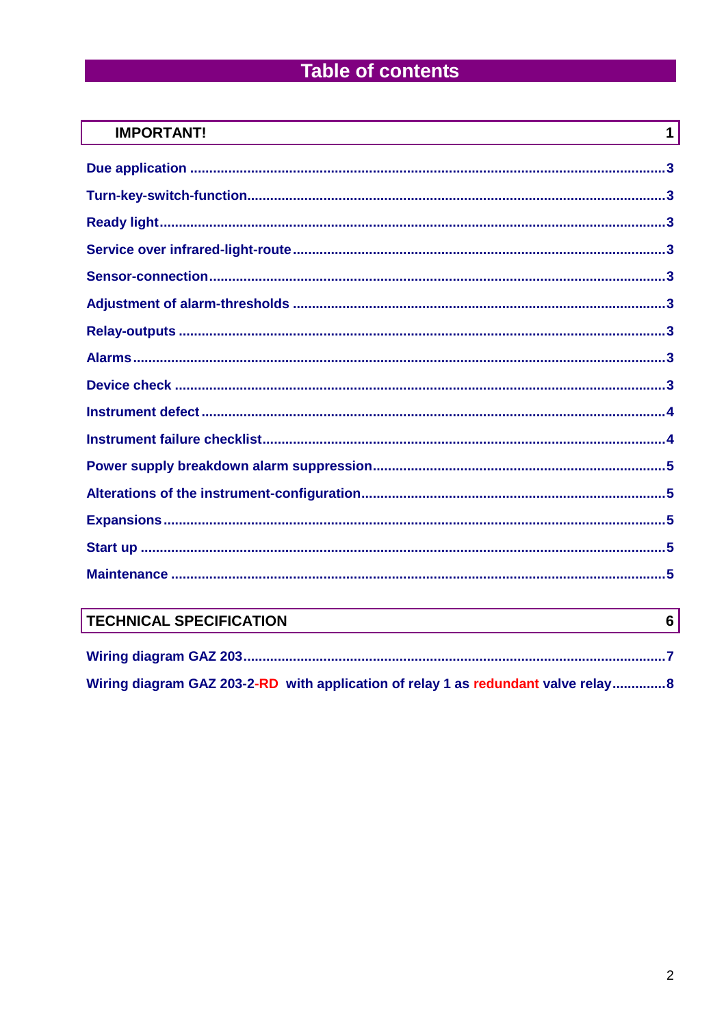# **Table of contents**

| <b>IMPORTANT!</b><br>$\mathbf 1$ |
|----------------------------------|
|                                  |
|                                  |
|                                  |
|                                  |
|                                  |
|                                  |
|                                  |
|                                  |
|                                  |
|                                  |
|                                  |
|                                  |
|                                  |
|                                  |
|                                  |
|                                  |

## **TECHNICAL SPECIFICATION**

| Wiring diagram GAZ 203-2-RD with application of relay 1 as redundant valve relay8 |
|-----------------------------------------------------------------------------------|

 $6\vert$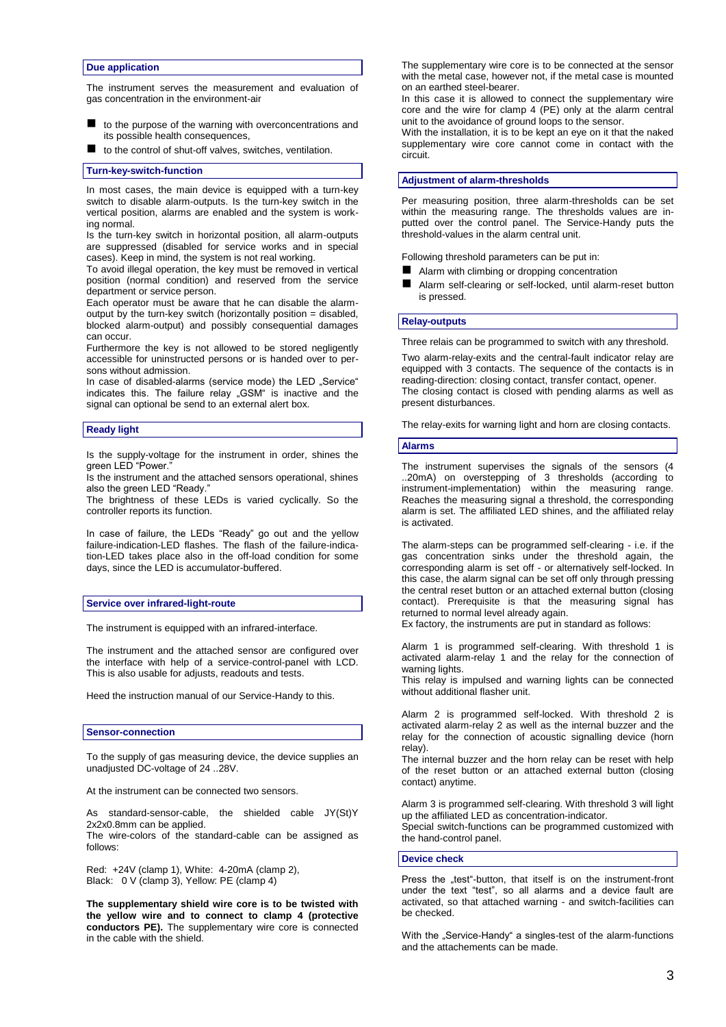#### **Due application**

The instrument serves the measurement and evaluation of gas concentration in the environment-air

- to the purpose of the warning with overconcentrations and its possible health consequences,
- to the control of shut-off valves, switches, ventilation.

#### **Turn-key-switch-function**

In most cases, the main device is equipped with a turn-key switch to disable alarm-outputs. Is the turn-key switch in the vertical position, alarms are enabled and the system is working normal.

Is the turn-key switch in horizontal position, all alarm-outputs are suppressed (disabled for service works and in special cases). Keep in mind, the system is not real working.

To avoid illegal operation, the key must be removed in vertical position (normal condition) and reserved from the service department or service person.

Each operator must be aware that he can disable the alarmoutput by the turn-key switch (horizontally position = disabled, blocked alarm-output) and possibly consequential damages can occur.

Furthermore the key is not allowed to be stored negligently accessible for uninstructed persons or is handed over to persons without admission.

In case of disabled-alarms (service mode) the LED "Service" indicates this. The failure relay "GSM" is inactive and the signal can optional be send to an external alert box.

#### **Ready light**

Is the supply-voltage for the instrument in order, shines the green LED "Power."

Is the instrument and the attached sensors operational, shines also the green LED "Ready."

The brightness of these LEDs is varied cyclically. So the controller reports its function.

In case of failure, the LEDs "Ready" go out and the yellow failure-indication-LED flashes. The flash of the failure-indication-LED takes place also in the off-load condition for some days, since the LED is accumulator-buffered.

#### **Service over infrared-light-route**

The instrument is equipped with an infrared-interface.

The instrument and the attached sensor are configured over the interface with help of a service-control-panel with LCD. This is also usable for adjusts, readouts and tests.

Heed the instruction manual of our Service-Handy to this.

#### **Sensor-connection**

To the supply of gas measuring device, the device supplies an unadjusted DC-voltage of 24 ..28V.

At the instrument can be connected two sensors.

As standard-sensor-cable, the shielded cable JY(St)Y 2x2x0.8mm can be applied.

The wire-colors of the standard-cable can be assigned as follows:

Red: +24V (clamp 1), White: 4-20mA (clamp 2), Black: 0 V (clamp 3), Yellow: PE (clamp 4)

**The supplementary shield wire core is to be twisted with the yellow wire and to connect to clamp 4 (protective conductors PE).** The supplementary wire core is connected in the cable with the shield.

The supplementary wire core is to be connected at the sensor with the metal case, however not, if the metal case is mounted on an earthed steel-bearer.

In this case it is allowed to connect the supplementary wire core and the wire for clamp 4 (PE) only at the alarm central unit to the avoidance of ground loops to the sensor.

With the installation, it is to be kept an eye on it that the naked supplementary wire core cannot come in contact with the circuit.

#### **Adjustment of alarm-thresholds**

Per measuring position, three alarm-thresholds can be set within the measuring range. The thresholds values are inputted over the control panel. The Service-Handy puts the threshold-values in the alarm central unit.

Following threshold parameters can be put in:

- Alarm with climbing or dropping concentration
- Alarm self-clearing or self-locked, until alarm-reset button is pressed.

#### **Relay-outputs**

Three relais can be programmed to switch with any threshold.

Two alarm-relay-exits and the central-fault indicator relay are equipped with 3 contacts. The sequence of the contacts is in reading-direction: closing contact, transfer contact, opener. The closing contact is closed with pending alarms as well as present disturbances.

The relay-exits for warning light and horn are closing contacts.

#### **Alarms**

The instrument supervises the signals of the sensors (4 ..20mA) on overstepping of 3 thresholds (according to instrument-implementation) within the measuring range. Reaches the measuring signal a threshold, the corresponding alarm is set. The affiliated LED shines, and the affiliated relay is activated.

The alarm-steps can be programmed self-clearing - i.e. if the gas concentration sinks under the threshold again, the corresponding alarm is set off - or alternatively self-locked. In this case, the alarm signal can be set off only through pressing the central reset button or an attached external button (closing contact). Prerequisite is that the measuring signal has returned to normal level already again.

Ex factory, the instruments are put in standard as follows:

Alarm 1 is programmed self-clearing. With threshold 1 is activated alarm-relay 1 and the relay for the connection of warning lights.

This relay is impulsed and warning lights can be connected without additional flasher unit.

Alarm 2 is programmed self-locked. With threshold 2 is activated alarm-relay 2 as well as the internal buzzer and the relay for the connection of acoustic signalling device (horn relay).

The internal buzzer and the horn relay can be reset with help of the reset button or an attached external button (closing contact) anytime.

Alarm 3 is programmed self-clearing. With threshold 3 will light up the affiliated LED as concentration-indicator.

Special switch-functions can be programmed customized with the hand-control panel.

#### **Device check**

Press the "test"-button, that itself is on the instrument-front under the text "test", so all alarms and a device fault are activated, so that attached warning - and switch-facilities can be checked.

With the "Service-Handy" a singles-test of the alarm-functions and the attachements can be made.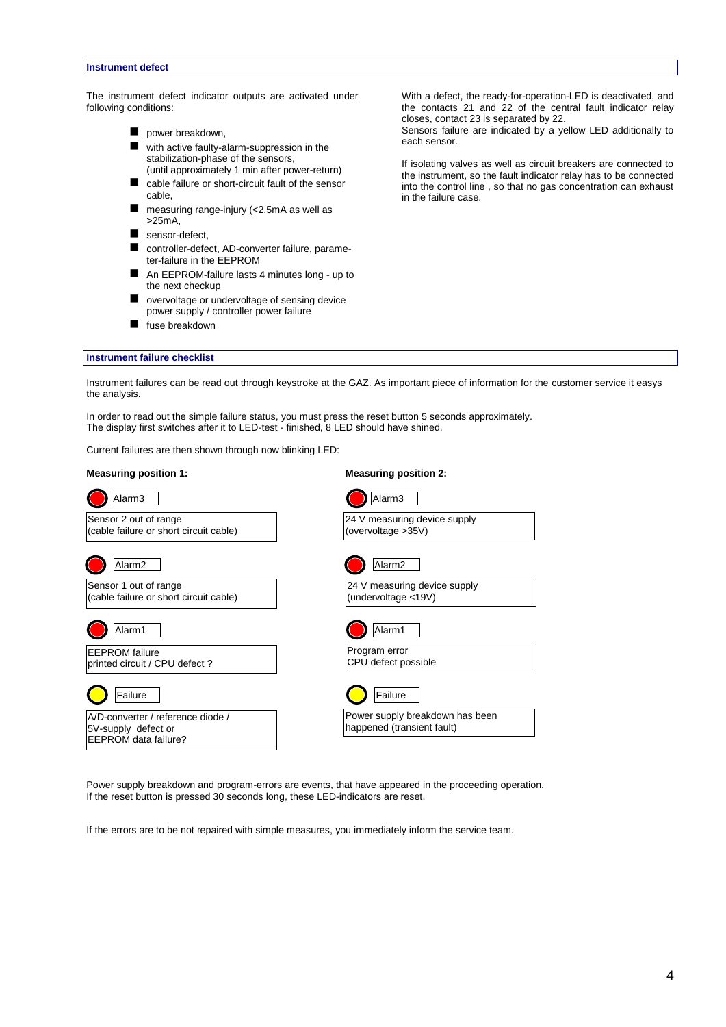#### **Instrument defect**

The instrument defect indicator outputs are activated under following conditions:

- power breakdown,
- with active faulty-alarm-suppression in the stabilization-phase of the sensors, (until approximately 1 min after power-return)
- cable failure or short-circuit fault of the sensor cable,
- measuring range-injury (<2.5mA as well as >25mA,
- sensor-defect,
- controller-defect, AD-converter failure, parameter-failure in the EEPROM
- An EEPROM-failure lasts 4 minutes long up to the next checkup
- overvoltage or undervoltage of sensing device power supply / controller power failure
- fuse breakdown

With a defect, the ready-for-operation-LED is deactivated, and the contacts 21 and 22 of the central fault indicator relay closes, contact 23 is separated by 22.

Sensors failure are indicated by a yellow LED additionally to each sensor.

If isolating valves as well as circuit breakers are connected to the instrument, so the fault indicator relay has to be connected into the control line , so that no gas concentration can exhaust in the failure case.

#### **Instrument failure checklist**

Instrument failures can be read out through keystroke at the GAZ. As important piece of information for the customer service it easys the analysis.

In order to read out the simple failure status, you must press the reset button 5 seconds approximately. The display first switches after it to LED-test - finished, 8 LED should have shined.

Current failures are then shown through now blinking LED:

#### **Measuring position 1: Measuring position 2:**

| Alarm <sub>3</sub>                                            |
|---------------------------------------------------------------|
| 24 V measuring device supply<br>(overvoltage >35V)            |
| Alarm <sub>2</sub>                                            |
| 24 V measuring device supply<br>(undervoltage <19V)           |
| Alarm1                                                        |
| Program error<br>CPU defect possible                          |
| Failure                                                       |
| Power supply breakdown has been<br>happened (transient fault) |
|                                                               |

Power supply breakdown and program-errors are events, that have appeared in the proceeding operation. If the reset button is pressed 30 seconds long, these LED-indicators are reset.

If the errors are to be not repaired with simple measures, you immediately inform the service team.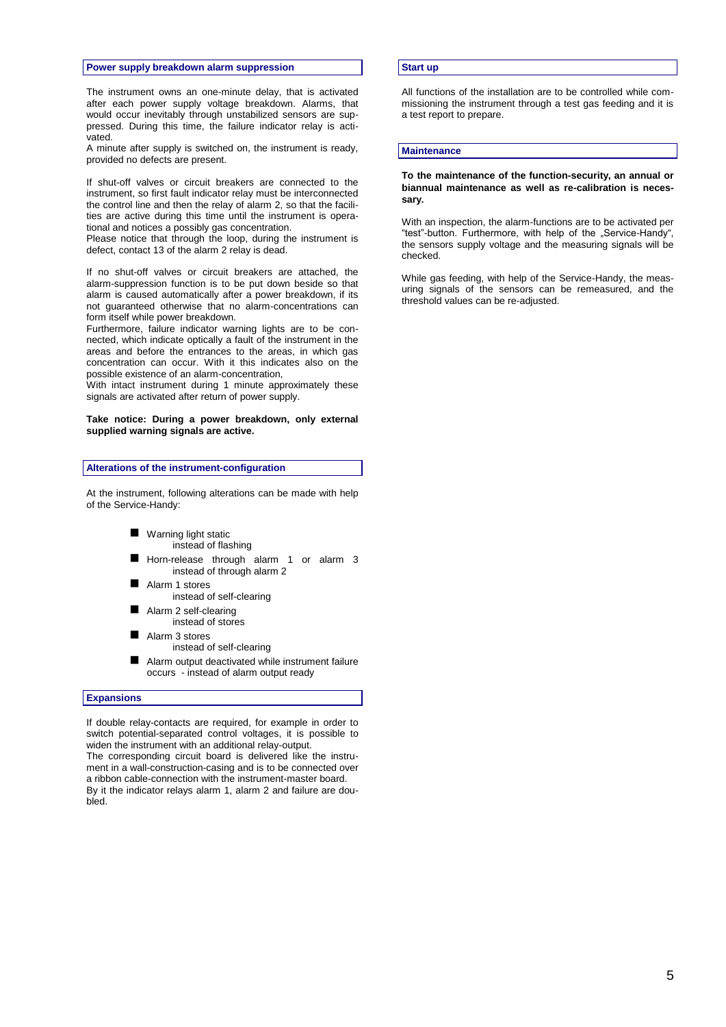#### **Power supply breakdown alarm suppression**

The instrument owns an one-minute delay, that is activated after each power supply voltage breakdown. Alarms, that would occur inevitably through unstabilized sensors are suppressed. During this time, the failure indicator relay is activated.

A minute after supply is switched on, the instrument is ready, provided no defects are present.

If shut-off valves or circuit breakers are connected to the instrument, so first fault indicator relay must be interconnected the control line and then the relay of alarm 2, so that the facilities are active during this time until the instrument is operational and notices a possibly gas concentration.

Please notice that through the loop, during the instrument is defect, contact 13 of the alarm 2 relay is dead.

If no shut-off valves or circuit breakers are attached, the alarm-suppression function is to be put down beside so that alarm is caused automatically after a power breakdown, if its not guaranteed otherwise that no alarm-concentrations can form itself while power breakdown.

Furthermore, failure indicator warning lights are to be connected, which indicate optically a fault of the instrument in the areas and before the entrances to the areas, in which gas concentration can occur. With it this indicates also on the possible existence of an alarm-concentration,

With intact instrument during 1 minute approximately these signals are activated after return of power supply.

#### **Take notice: During a power breakdown, only external supplied warning signals are active.**

#### **Alterations of the instrument-configuration**

At the instrument, following alterations can be made with help of the Service-Handy:

- **Warning light static** instead of flashing
- Horn-release through alarm 1 or alarm 3
- instead of through alarm 2 Alarm 1 stores
- instead of self-clearing
- Alarm 2 self-clearing
- instead of stores
- Alarm 3 stores
- instead of self-clearing
- Alarm output deactivated while instrument failure occurs - instead of alarm output ready

#### **Expansions**

If double relay-contacts are required, for example in order to switch potential-separated control voltages, it is possible to widen the instrument with an additional relay-output. The corresponding circuit board is delivered like the instrument in a wall-construction-casing and is to be connected over a ribbon cable-connection with the instrument-master board. By it the indicator relays alarm 1, alarm 2 and failure are doubled.

#### **Start up**

All functions of the installation are to be controlled while commissioning the instrument through a test gas feeding and it is a test report to prepare.

#### **Maintenance**

**To the maintenance of the function-security, an annual or biannual maintenance as well as re-calibration is necessary.**

With an inspection, the alarm-functions are to be activated per "test"-button. Furthermore, with help of the "Service-Handy", the sensors supply voltage and the measuring signals will be checked.

While gas feeding, with help of the Service-Handy, the measuring signals of the sensors can be remeasured, and the threshold values can be re-adjusted.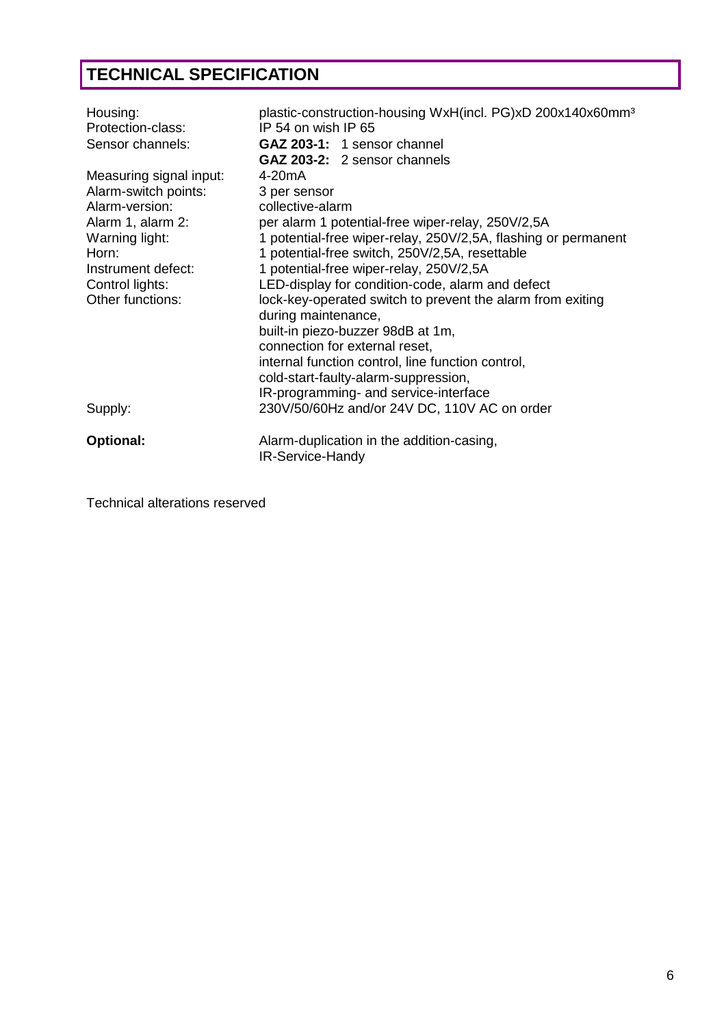# **TECHNICAL SPECIFICATION**

| Housing:<br>Protection-class:<br>Sensor channels: | plastic-construction-housing WxH(incl. PG)xD 200x140x60mm <sup>3</sup><br>IP 54 on wish IP 65<br>GAZ 203-1: 1 sensor channel<br><b>GAZ 203-2:</b> 2 sensor channels |
|---------------------------------------------------|---------------------------------------------------------------------------------------------------------------------------------------------------------------------|
| Measuring signal input:                           | 4-20mA                                                                                                                                                              |
| Alarm-switch points:                              | 3 per sensor                                                                                                                                                        |
| Alarm-version:                                    | collective-alarm                                                                                                                                                    |
| Alarm 1, alarm 2:                                 | per alarm 1 potential-free wiper-relay, 250V/2,5A                                                                                                                   |
| Warning light:                                    | 1 potential-free wiper-relay, 250V/2,5A, flashing or permanent                                                                                                      |
| Horn:                                             | 1 potential-free switch, 250V/2,5A, resettable                                                                                                                      |
| Instrument defect:                                | 1 potential-free wiper-relay, 250V/2,5A                                                                                                                             |
| Control lights:                                   | LED-display for condition-code, alarm and defect                                                                                                                    |
| Other functions:                                  | lock-key-operated switch to prevent the alarm from exiting                                                                                                          |
|                                                   | during maintenance,                                                                                                                                                 |
|                                                   | built-in piezo-buzzer 98dB at 1m,                                                                                                                                   |
|                                                   | connection for external reset,                                                                                                                                      |
|                                                   | internal function control, line function control,                                                                                                                   |
|                                                   | cold-start-faulty-alarm-suppression,                                                                                                                                |
|                                                   | IR-programming- and service-interface                                                                                                                               |
| Supply:                                           | 230V/50/60Hz and/or 24V DC, 110V AC on order                                                                                                                        |
| Optional:                                         | Alarm-duplication in the addition-casing,<br>IR-Service-Handy                                                                                                       |

Technical alterations reserved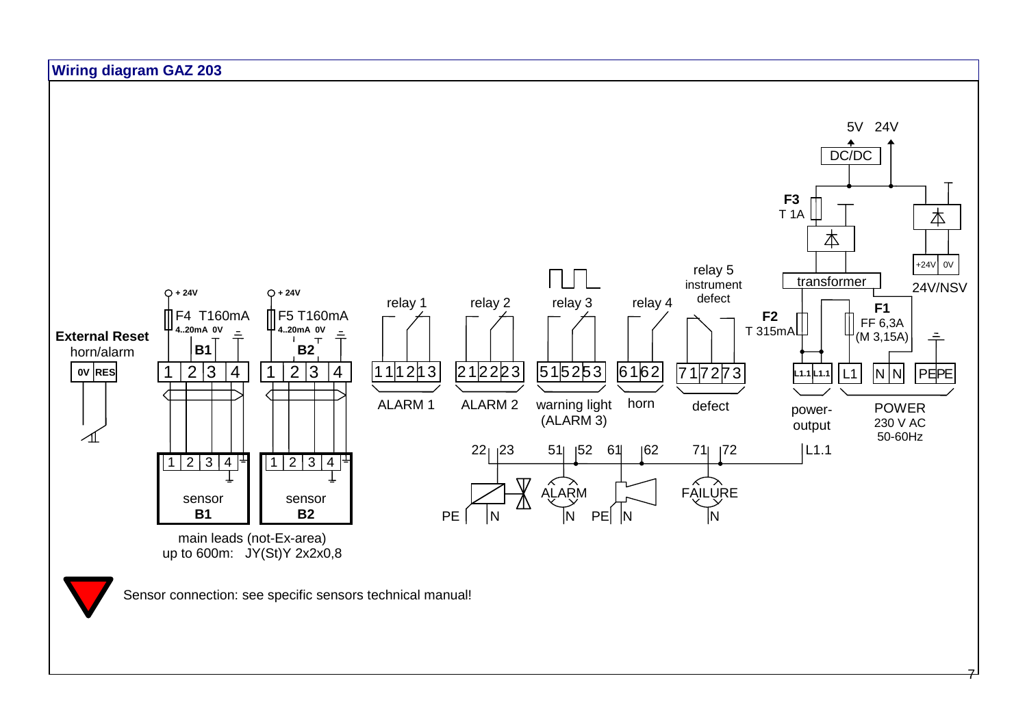

7